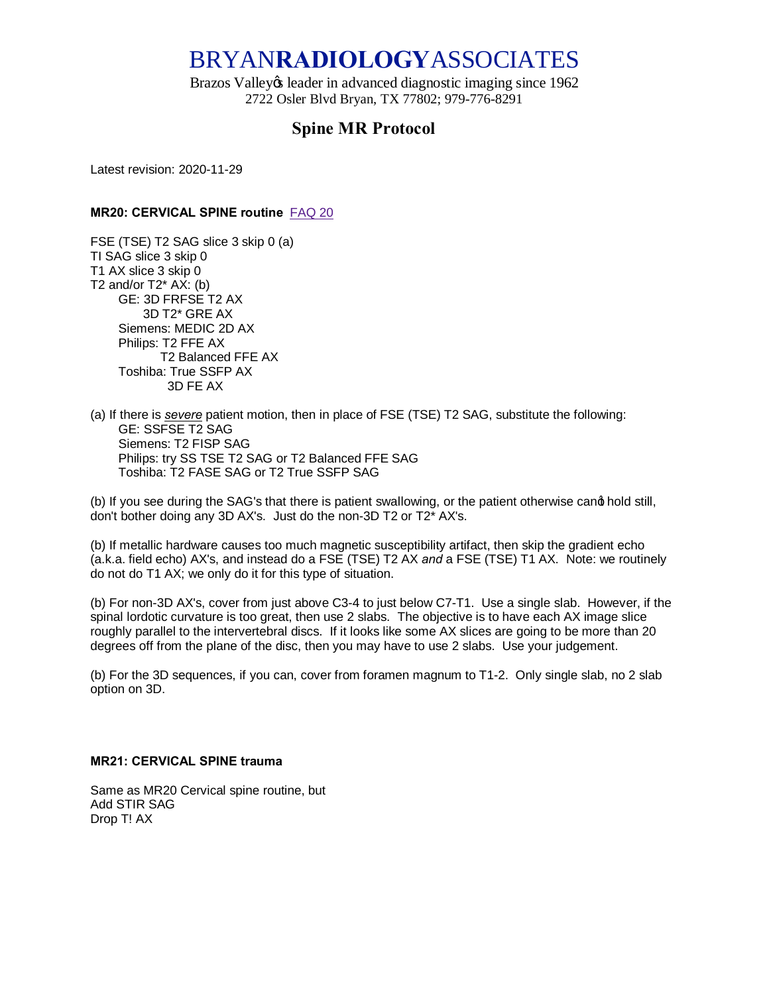# BRYAN**RADIOLOGY**ASSOCIATES

Brazos Valley & leader in advanced diagnostic imaging since 1962 2722 Osler Blvd Bryan, TX 77802; 979-776-8291

# **Spine MR Protocol**

Latest revision: 2020-11-29

# **MR20: CERVICAL SPINE routine** [FAQ 20](https://sites.google.com/site/bryradprotocols/Home/frequently-asked-questions/faq-20)

FSE (TSE) T2 SAG slice 3 skip 0 (a) TI SAG slice 3 skip 0 T1 AX slice 3 skip 0 T2 and/or  $T2^*$  AX: (b) GE: 3D FRFSE T2 AX 3D T2\* GRE AX Siemens: MEDIC 2D AX Philips: T2 FFE AX T2 Balanced FFE AX Toshiba: True SSFP AX 3D FE AX

(a) If there is *severe* patient motion, then in place of FSE (TSE) T2 SAG, substitute the following: GE: SSFSE T2 SAG Siemens: T2 FISP SAG Philips: try SS TSE T2 SAG or T2 Balanced FFE SAG Toshiba: T2 FASE SAG or T2 True SSFP SAG

(b) If you see during the SAG's that there is patient swallowing, or the patient otherwise cand hold still, don't bother doing any 3D AX's. Just do the non-3D T2 or T2\* AX's.

(b) If metallic hardware causes too much magnetic susceptibility artifact, then skip the gradient echo (a.k.a. field echo) AX's, and instead do a FSE (TSE) T2 AX *and* a FSE (TSE) T1 AX. Note: we routinely do not do T1 AX; we only do it for this type of situation.

(b) For non-3D AX's, cover from just above C3-4 to just below C7-T1. Use a single slab. However, if the spinal lordotic curvature is too great, then use 2 slabs. The objective is to have each AX image slice roughly parallel to the intervertebral discs. If it looks like some AX slices are going to be more than 20 degrees off from the plane of the disc, then you may have to use 2 slabs. Use your judgement.

(b) For the 3D sequences, if you can, cover from foramen magnum to T1-2. Only single slab, no 2 slab option on 3D.

#### **MR21: CERVICAL SPINE trauma**

Same as MR20 Cervical spine routine, but Add STIR SAG Drop T! AX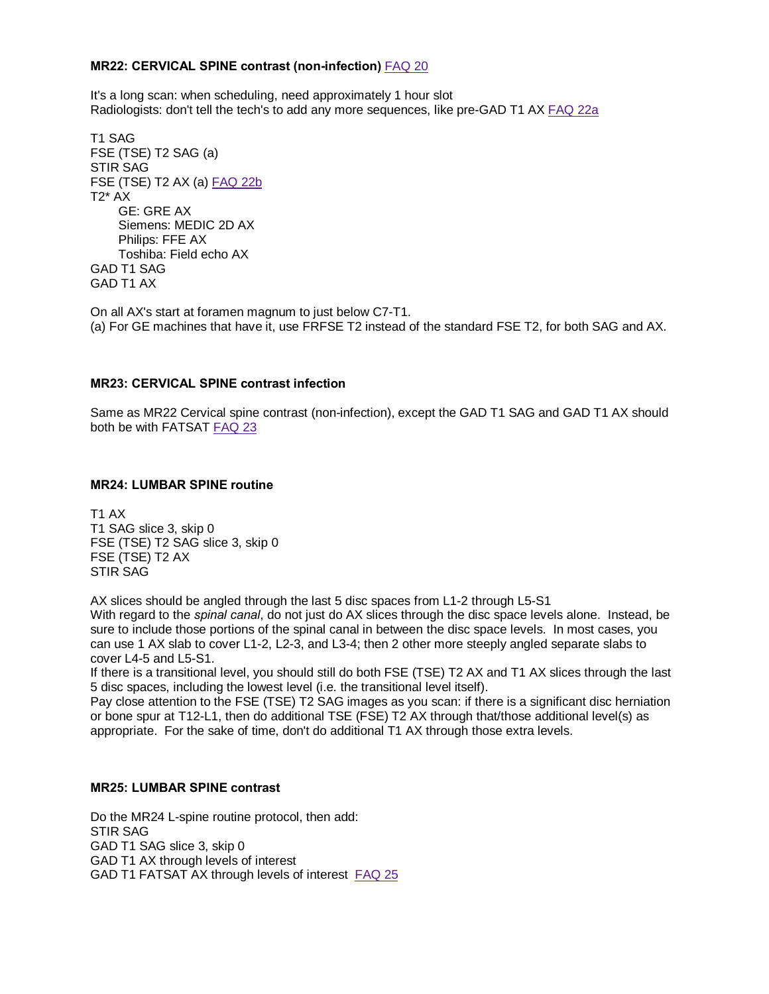### **MR22: CERVICAL SPINE contrast (non-infection)** [FAQ 20](https://sites.google.com/site/bryradprotocols/Home/frequently-asked-questions/faq-20)

It's a long scan: when scheduling, need approximately 1 hour slot Radiologists: don't tell the tech's to add any more sequences, like pre-GAD T1 AX [FAQ 22a](https://sites.google.com/site/bryradprotocols/Home/frequently-asked-questions/faq-22a)

T1 SAG FSE (TSE) T2 SAG (a) STIR SAG FSE (TSE) T2 AX (a) [FAQ 22b](https://sites.google.com/site/bryradprotocols/Home/frequently-asked-questions/faq-22b)  $T2^*$  AX GE: GRE AX Siemens: MEDIC 2D AX Philips: FFE AX Toshiba: Field echo AX GAD T1 SAG GAD T1 AX

On all AX's start at foramen magnum to just below C7-T1. (a) For GE machines that have it, use FRFSE T2 instead of the standard FSE T2, for both SAG and AX.

# **MR23: CERVICAL SPINE contrast infection**

Same as MR22 Cervical spine contrast (non-infection), except the GAD T1 SAG and GAD T1 AX should both be with FATSAT [FAQ 23](https://sites.google.com/site/bryradprotocols/Home/frequently-asked-questions/faq-23)

#### **MR24: LUMBAR SPINE routine**

T1 AX T1 SAG slice 3, skip 0 FSE (TSE) T2 SAG slice 3, skip 0 FSE (TSE) T2 AX STIR SAG

AX slices should be angled through the last 5 disc spaces from L1-2 through L5-S1

With regard to the *spinal canal*, do not just do AX slices through the disc space levels alone. Instead, be sure to include those portions of the spinal canal in between the disc space levels. In most cases, you can use 1 AX slab to cover L1-2, L2-3, and L3-4; then 2 other more steeply angled separate slabs to cover L4-5 and L5-S1.

If there is a transitional level, you should still do both FSE (TSE) T2 AX and T1 AX slices through the last 5 disc spaces, including the lowest level (i.e. the transitional level itself).

Pay close attention to the FSE (TSE) T2 SAG images as you scan: if there is a significant disc herniation or bone spur at T12-L1, then do additional TSE (FSE) T2 AX through that/those additional level(s) as appropriate. For the sake of time, don't do additional T1 AX through those extra levels.

#### **MR25: LUMBAR SPINE contrast**

Do the MR24 L-spine routine protocol, then add: STIR SAG GAD T1 SAG slice 3, skip 0 GAD T1 AX through levels of interest GAD T1 FATSAT AX through levels of interest [FAQ 25](https://sites.google.com/site/bryradprotocols/Home/frequently-asked-questions/faq-25)